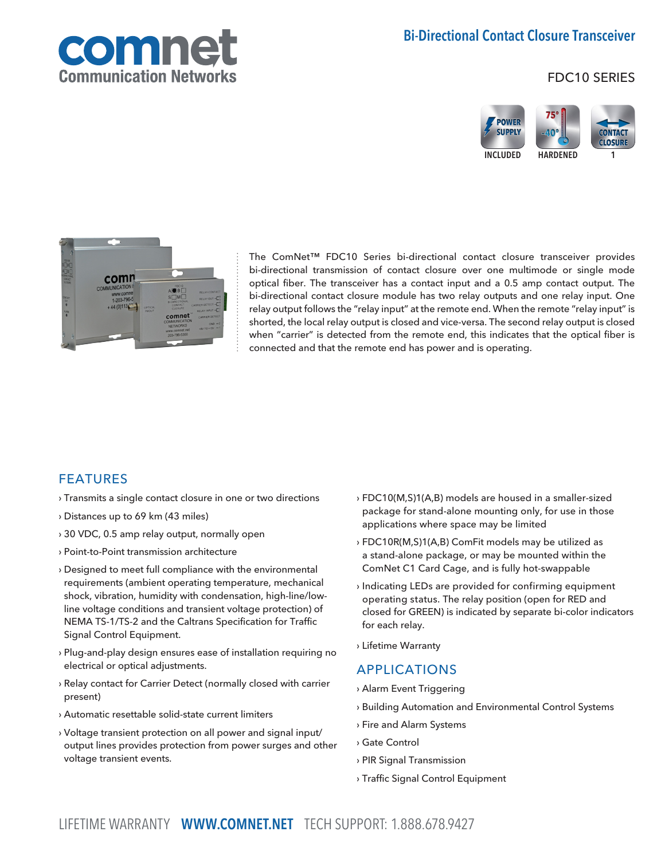

FDC10 SERIES





The ComNet™ FDC10 Series bi-directional contact closure transceiver provides bi-directional transmission of contact closure over one multimode or single mode optical fiber. The transceiver has a contact input and a 0.5 amp contact output. The bi-directional contact closure module has two relay outputs and one relay input. One relay output follows the "relay input" at the remote end. When the remote "relay input" is shorted, the local relay output is closed and vice-versa. The second relay output is closed when "carrier" is detected from the remote end, this indicates that the optical fiber is connected and that the remote end has power and is operating.

#### FEATURES

- › Transmits a single contact closure in one or two directions
- › Distances up to 69 km (43 miles)
- › 30 VDC, 0.5 amp relay output, normally open
- › Point-to-Point transmission architecture
- › Designed to meet full compliance with the environmental requirements (ambient operating temperature, mechanical shock, vibration, humidity with condensation, high-line/lowline voltage conditions and transient voltage protection) of NEMA TS-1/TS-2 and the Caltrans Specification for Traffic Signal Control Equipment.
- › Plug-and-play design ensures ease of installation requiring no electrical or optical adjustments.
- › Relay contact for Carrier Detect (normally closed with carrier present)
- › Automatic resettable solid-state current limiters
- › Voltage transient protection on all power and signal input/ output lines provides protection from power surges and other voltage transient events.
- › FDC10(M,S)1(A,B) models are housed in a smaller-sized package for stand-alone mounting only, for use in those applications where space may be limited
- › FDC10R(M,S)1(A,B) ComFit models may be utilized as a stand-alone package, or may be mounted within the ComNet C1 Card Cage, and is fully hot-swappable
- › Indicating LEDs are provided for confirming equipment operating status. The relay position (open for RED and closed for GREEN) is indicated by separate bi-color indicators for each relay.
- › Lifetime Warranty

#### APPLICATIONS

- › Alarm Event Triggering
- › Building Automation and Environmental Control Systems
- › Fire and Alarm Systems
- › Gate Control
- › PIR Signal Transmission
- › Traffic Signal Control Equipment